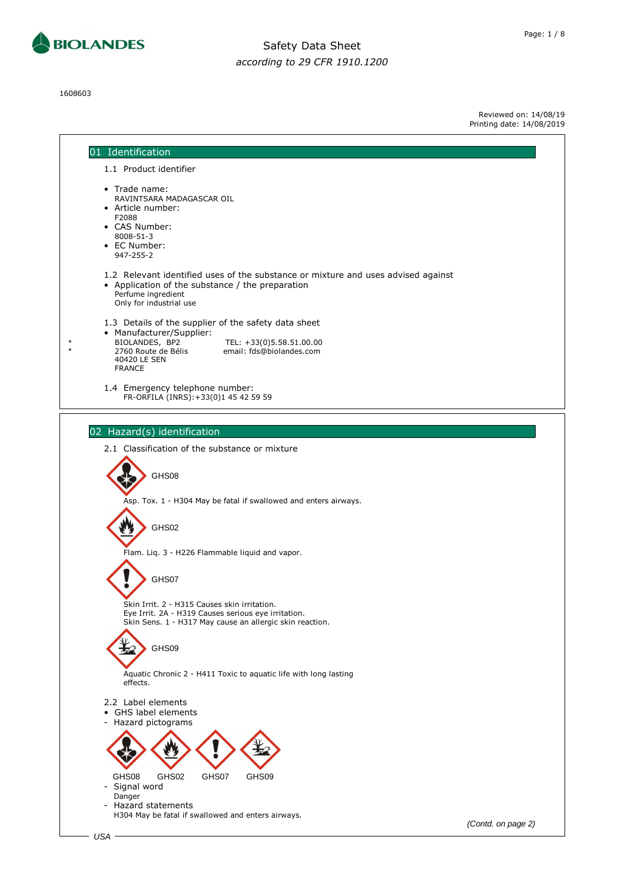

1608603

Reviewed on: 14/08/19 Printing date: 14/08/2019

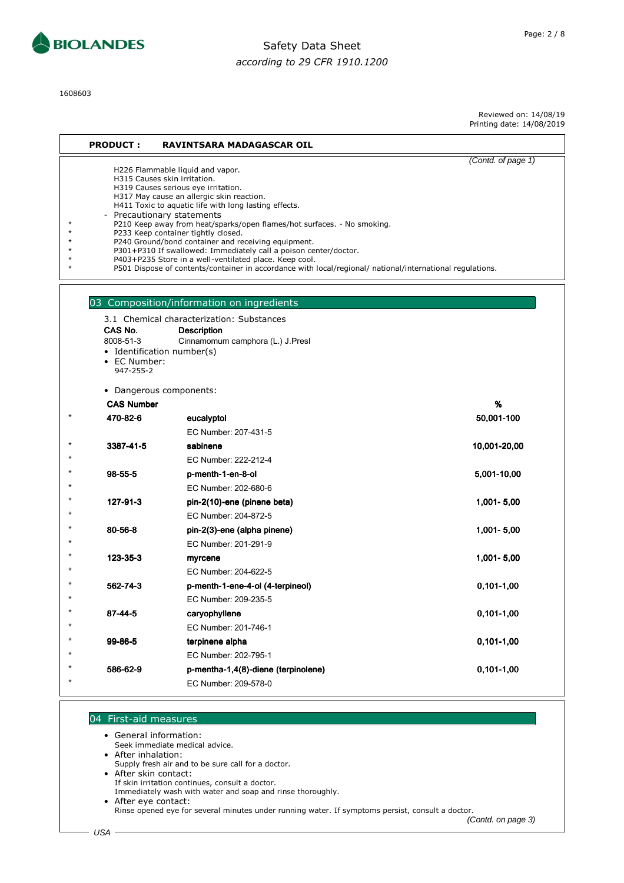

1608603

Reviewed on: 14/08/19 Printing date: 14/08/2019

| <b>PRODUCT:</b>                                   | <b>RAVINTSARA MADAGASCAR OIL</b>                                                                                                                                                                                                                                                                                                                                                                                                                                                                                                                                                                                                                                |                    |
|---------------------------------------------------|-----------------------------------------------------------------------------------------------------------------------------------------------------------------------------------------------------------------------------------------------------------------------------------------------------------------------------------------------------------------------------------------------------------------------------------------------------------------------------------------------------------------------------------------------------------------------------------------------------------------------------------------------------------------|--------------------|
|                                                   | H226 Flammable liquid and vapor.<br>H315 Causes skin irritation.<br>H319 Causes serious eye irritation.<br>H317 May cause an allergic skin reaction.<br>H411 Toxic to aquatic life with long lasting effects.<br>- Precautionary statements<br>P210 Keep away from heat/sparks/open flames/hot surfaces. - No smoking.<br>P233 Keep container tightly closed.<br>P240 Ground/bond container and receiving equipment.<br>P301+P310 If swallowed: Immediately call a poison center/doctor.<br>P403+P235 Store in a well-ventilated place. Keep cool.<br>P501 Dispose of contents/container in accordance with local/regional/ national/international regulations. | (Contd. of page 1) |
| CAS No.<br>8008-51-3<br>• EC Number:<br>947-255-2 | 03 Composition/information on ingredients<br>3.1 Chemical characterization: Substances<br><b>Description</b><br>Cinnamomum camphora (L.) J.Presl<br>• Identification number(s)                                                                                                                                                                                                                                                                                                                                                                                                                                                                                  |                    |
|                                                   | • Dangerous components:                                                                                                                                                                                                                                                                                                                                                                                                                                                                                                                                                                                                                                         |                    |
| <b>CAS Number</b>                                 |                                                                                                                                                                                                                                                                                                                                                                                                                                                                                                                                                                                                                                                                 | %                  |
| 470-82-6                                          | eucalyptol                                                                                                                                                                                                                                                                                                                                                                                                                                                                                                                                                                                                                                                      | 50,001-100         |
|                                                   | EC Number: 207-431-5                                                                                                                                                                                                                                                                                                                                                                                                                                                                                                                                                                                                                                            |                    |
| 3387-41-5                                         | sabinene                                                                                                                                                                                                                                                                                                                                                                                                                                                                                                                                                                                                                                                        | 10,001-20,00       |
|                                                   | EC Number: 222-212-4                                                                                                                                                                                                                                                                                                                                                                                                                                                                                                                                                                                                                                            |                    |
| 98-55-5                                           | p-menth-1-en-8-ol                                                                                                                                                                                                                                                                                                                                                                                                                                                                                                                                                                                                                                               | 5,001-10,00        |
|                                                   | EC Number: 202-680-6                                                                                                                                                                                                                                                                                                                                                                                                                                                                                                                                                                                                                                            |                    |
| 127-91-3                                          | pin-2(10)-ene (pinene beta)                                                                                                                                                                                                                                                                                                                                                                                                                                                                                                                                                                                                                                     | 1,001-5,00         |
|                                                   | EC Number: 204-872-5                                                                                                                                                                                                                                                                                                                                                                                                                                                                                                                                                                                                                                            |                    |
| 80-56-8                                           | pin-2(3)-ene (alpha pinene)                                                                                                                                                                                                                                                                                                                                                                                                                                                                                                                                                                                                                                     | 1,001-5,00         |
|                                                   | EC Number: 201-291-9                                                                                                                                                                                                                                                                                                                                                                                                                                                                                                                                                                                                                                            |                    |
| 123-35-3                                          | myrcene                                                                                                                                                                                                                                                                                                                                                                                                                                                                                                                                                                                                                                                         | 1,001-5,00         |
|                                                   | EC Number: 204-622-5                                                                                                                                                                                                                                                                                                                                                                                                                                                                                                                                                                                                                                            |                    |
| 562-74-3                                          | p-menth-1-ene-4-ol (4-terpineol)                                                                                                                                                                                                                                                                                                                                                                                                                                                                                                                                                                                                                                | $0,101-1,00$       |
|                                                   | EC Number: 209-235-5                                                                                                                                                                                                                                                                                                                                                                                                                                                                                                                                                                                                                                            |                    |
| 87-44-5                                           | caryophyllene                                                                                                                                                                                                                                                                                                                                                                                                                                                                                                                                                                                                                                                   | $0,101-1,00$       |
|                                                   | EC Number: 201-746-1                                                                                                                                                                                                                                                                                                                                                                                                                                                                                                                                                                                                                                            |                    |
| 99-86-5                                           | terpinene alpha                                                                                                                                                                                                                                                                                                                                                                                                                                                                                                                                                                                                                                                 | $0,101-1,00$       |
|                                                   | EC Number: 202-795-1                                                                                                                                                                                                                                                                                                                                                                                                                                                                                                                                                                                                                                            |                    |
| 586-62-9                                          | p-mentha-1,4(8)-diene (terpinolene)                                                                                                                                                                                                                                                                                                                                                                                                                                                                                                                                                                                                                             | $0,101-1,00$       |
|                                                   | EC Number: 209-578-0                                                                                                                                                                                                                                                                                                                                                                                                                                                                                                                                                                                                                                            |                    |

#### 04 First-aid measures

• General information:

Seek immediate medical advice.

• After inhalation:

Supply fresh air and to be sure call for a doctor.

• After skin contact:

If skin irritation continues, consult a doctor.

Immediately wash with water and soap and rinse thoroughly. • After eye contact:

Rinse opened eye for several minutes under running water. If symptoms persist, consult a doctor. (Contd. on page 3)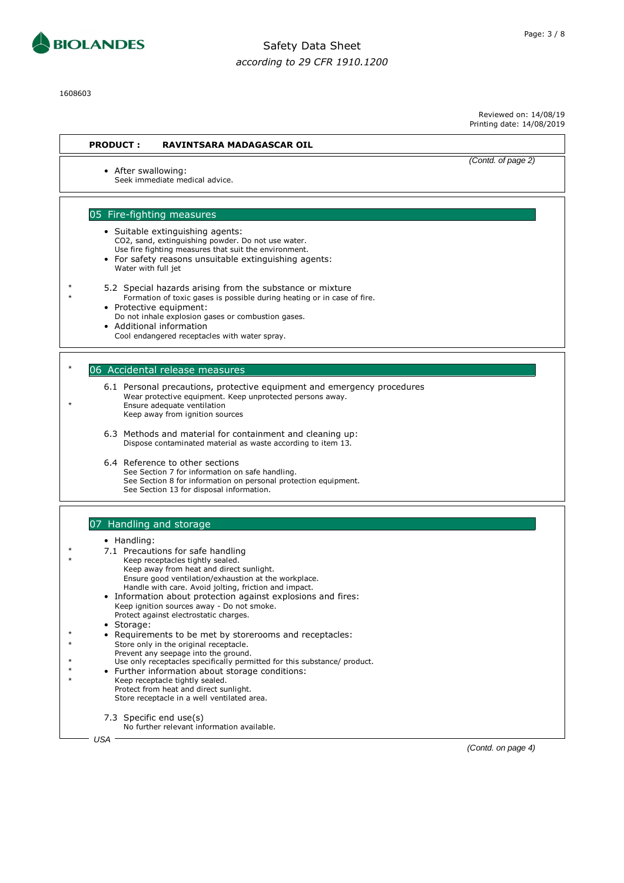

1608603

Reviewed on: 14/08/19 Printing date: 14/08/2019

| <b>PRODUCT:</b>     | <b>RAVINTSARA MADAGASCAR OIL</b>                                                                                                                                                                       |                    |
|---------------------|--------------------------------------------------------------------------------------------------------------------------------------------------------------------------------------------------------|--------------------|
| • After swallowing: | Seek immediate medical advice.                                                                                                                                                                         | (Contd. of page 2) |
|                     | 05 Fire-fighting measures                                                                                                                                                                              |                    |
|                     | • Suitable extinguishing agents:<br>CO2, sand, extinguishing powder. Do not use water.                                                                                                                 |                    |
| Water with full jet | Use fire fighting measures that suit the environment.<br>• For safety reasons unsuitable extinguishing agents:                                                                                         |                    |
|                     | 5.2 Special hazards arising from the substance or mixture<br>Formation of toxic gases is possible during heating or in case of fire.<br>• Protective equipment:                                        |                    |
|                     | Do not inhale explosion gases or combustion gases.<br>Additional information<br>Cool endangered receptacles with water spray.                                                                          |                    |
|                     | 06 Accidental release measures                                                                                                                                                                         |                    |
|                     | 6.1 Personal precautions, protective equipment and emergency procedures<br>Wear protective equipment. Keep unprotected persons away.<br>Ensure adequate ventilation<br>Keep away from ignition sources |                    |
|                     | 6.3 Methods and material for containment and cleaning up:<br>Dispose contaminated material as waste according to item 13.                                                                              |                    |
|                     | 6.4 Reference to other sections<br>See Section 7 for information on safe handling.<br>See Section 8 for information on personal protection equipment.<br>See Section 13 for disposal information.      |                    |
|                     |                                                                                                                                                                                                        |                    |
|                     | 07 Handling and storage                                                                                                                                                                                |                    |
| $\bullet$ Handling: | 7.1 Precautions for safe handling                                                                                                                                                                      |                    |
|                     | Keep receptacles tightly sealed.                                                                                                                                                                       |                    |
|                     | Keep away from heat and direct sunlight.<br>Ensure good ventilation/exhaustion at the workplace.                                                                                                       |                    |
|                     | Handle with care. Avoid jolting, friction and impact.<br>• Information about protection against explosions and fires:                                                                                  |                    |
|                     | Keep ignition sources away - Do not smoke.                                                                                                                                                             |                    |
| • Storage:          | Protect against electrostatic charges.                                                                                                                                                                 |                    |
|                     | Requirements to be met by storerooms and receptacles:                                                                                                                                                  |                    |
|                     | Store only in the original receptacle.<br>Prevent any seepage into the ground.                                                                                                                         |                    |
|                     | Use only receptacles specifically permitted for this substance/ product.<br>Further information about storage conditions:                                                                              |                    |
|                     | Keep receptacle tightly sealed.<br>Protect from heat and direct sunlight.                                                                                                                              |                    |
|                     | Store receptacle in a well ventilated area.                                                                                                                                                            |                    |
|                     | 7.3 Specific end use(s)<br>No further relevant information available.                                                                                                                                  |                    |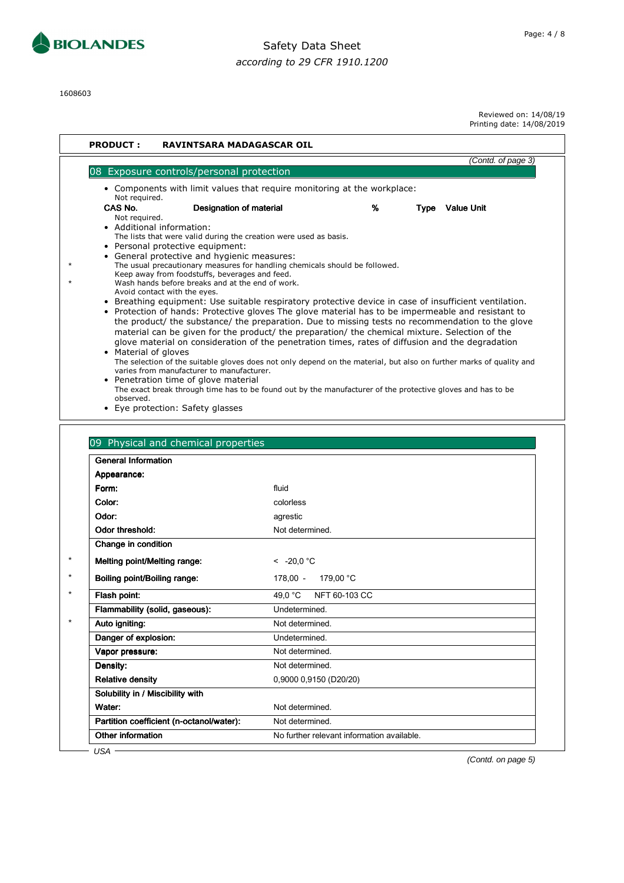

1608603

Reviewed on: 14/08/19

Printing date: 14/08/2019

| 08 Exposure controls/personal protection<br>• Components with limit values that require monitoring at the workplace:<br>Not required.<br>CAS No.<br><b>Designation of material</b><br>Not required.<br>• Additional information:<br>The lists that were valid during the creation were used as basis.<br>• Personal protective equipment:<br>• General protective and hygienic measures:<br>The usual precautionary measures for handling chemicals should be followed.<br>Keep away from foodstuffs, beverages and feed.<br>Wash hands before breaks and at the end of work.<br>Avoid contact with the eyes.<br>$\bullet$<br>• Material of gloves<br>varies from manufacturer to manufacturer.<br>• Penetration time of glove material<br>observed.<br>• Eye protection: Safety glasses<br>09 Physical and chemical properties<br><b>General Information</b> | (Contd. of page 3)<br>%<br>Type Value Unit<br>Breathing equipment: Use suitable respiratory protective device in case of insufficient ventilation.<br>• Protection of hands: Protective gloves The glove material has to be impermeable and resistant to<br>the product/ the substance/ the preparation. Due to missing tests no recommendation to the glove<br>material can be given for the product/ the preparation/ the chemical mixture. Selection of the<br>glove material on consideration of the penetration times, rates of diffusion and the degradation<br>The selection of the suitable gloves does not only depend on the material, but also on further marks of quality and<br>The exact break through time has to be found out by the manufacturer of the protective gloves and has to be |
|---------------------------------------------------------------------------------------------------------------------------------------------------------------------------------------------------------------------------------------------------------------------------------------------------------------------------------------------------------------------------------------------------------------------------------------------------------------------------------------------------------------------------------------------------------------------------------------------------------------------------------------------------------------------------------------------------------------------------------------------------------------------------------------------------------------------------------------------------------------|----------------------------------------------------------------------------------------------------------------------------------------------------------------------------------------------------------------------------------------------------------------------------------------------------------------------------------------------------------------------------------------------------------------------------------------------------------------------------------------------------------------------------------------------------------------------------------------------------------------------------------------------------------------------------------------------------------------------------------------------------------------------------------------------------------|
|                                                                                                                                                                                                                                                                                                                                                                                                                                                                                                                                                                                                                                                                                                                                                                                                                                                               |                                                                                                                                                                                                                                                                                                                                                                                                                                                                                                                                                                                                                                                                                                                                                                                                          |
|                                                                                                                                                                                                                                                                                                                                                                                                                                                                                                                                                                                                                                                                                                                                                                                                                                                               |                                                                                                                                                                                                                                                                                                                                                                                                                                                                                                                                                                                                                                                                                                                                                                                                          |
|                                                                                                                                                                                                                                                                                                                                                                                                                                                                                                                                                                                                                                                                                                                                                                                                                                                               |                                                                                                                                                                                                                                                                                                                                                                                                                                                                                                                                                                                                                                                                                                                                                                                                          |
|                                                                                                                                                                                                                                                                                                                                                                                                                                                                                                                                                                                                                                                                                                                                                                                                                                                               |                                                                                                                                                                                                                                                                                                                                                                                                                                                                                                                                                                                                                                                                                                                                                                                                          |
|                                                                                                                                                                                                                                                                                                                                                                                                                                                                                                                                                                                                                                                                                                                                                                                                                                                               |                                                                                                                                                                                                                                                                                                                                                                                                                                                                                                                                                                                                                                                                                                                                                                                                          |
|                                                                                                                                                                                                                                                                                                                                                                                                                                                                                                                                                                                                                                                                                                                                                                                                                                                               |                                                                                                                                                                                                                                                                                                                                                                                                                                                                                                                                                                                                                                                                                                                                                                                                          |
|                                                                                                                                                                                                                                                                                                                                                                                                                                                                                                                                                                                                                                                                                                                                                                                                                                                               |                                                                                                                                                                                                                                                                                                                                                                                                                                                                                                                                                                                                                                                                                                                                                                                                          |
|                                                                                                                                                                                                                                                                                                                                                                                                                                                                                                                                                                                                                                                                                                                                                                                                                                                               |                                                                                                                                                                                                                                                                                                                                                                                                                                                                                                                                                                                                                                                                                                                                                                                                          |
|                                                                                                                                                                                                                                                                                                                                                                                                                                                                                                                                                                                                                                                                                                                                                                                                                                                               |                                                                                                                                                                                                                                                                                                                                                                                                                                                                                                                                                                                                                                                                                                                                                                                                          |
| Appearance:                                                                                                                                                                                                                                                                                                                                                                                                                                                                                                                                                                                                                                                                                                                                                                                                                                                   |                                                                                                                                                                                                                                                                                                                                                                                                                                                                                                                                                                                                                                                                                                                                                                                                          |
| Form:                                                                                                                                                                                                                                                                                                                                                                                                                                                                                                                                                                                                                                                                                                                                                                                                                                                         | fluid                                                                                                                                                                                                                                                                                                                                                                                                                                                                                                                                                                                                                                                                                                                                                                                                    |
| Color:                                                                                                                                                                                                                                                                                                                                                                                                                                                                                                                                                                                                                                                                                                                                                                                                                                                        | colorless                                                                                                                                                                                                                                                                                                                                                                                                                                                                                                                                                                                                                                                                                                                                                                                                |
| Odor:                                                                                                                                                                                                                                                                                                                                                                                                                                                                                                                                                                                                                                                                                                                                                                                                                                                         | agrestic                                                                                                                                                                                                                                                                                                                                                                                                                                                                                                                                                                                                                                                                                                                                                                                                 |
| Odor threshold:                                                                                                                                                                                                                                                                                                                                                                                                                                                                                                                                                                                                                                                                                                                                                                                                                                               | Not determined.                                                                                                                                                                                                                                                                                                                                                                                                                                                                                                                                                                                                                                                                                                                                                                                          |
| Change in condition                                                                                                                                                                                                                                                                                                                                                                                                                                                                                                                                                                                                                                                                                                                                                                                                                                           |                                                                                                                                                                                                                                                                                                                                                                                                                                                                                                                                                                                                                                                                                                                                                                                                          |
| Melting point/Melting range:                                                                                                                                                                                                                                                                                                                                                                                                                                                                                                                                                                                                                                                                                                                                                                                                                                  | $\leq$ -20.0 °C                                                                                                                                                                                                                                                                                                                                                                                                                                                                                                                                                                                                                                                                                                                                                                                          |
| Boiling point/Boiling range:                                                                                                                                                                                                                                                                                                                                                                                                                                                                                                                                                                                                                                                                                                                                                                                                                                  | 179,00 °C<br>178,00 -                                                                                                                                                                                                                                                                                                                                                                                                                                                                                                                                                                                                                                                                                                                                                                                    |
| Flash point:                                                                                                                                                                                                                                                                                                                                                                                                                                                                                                                                                                                                                                                                                                                                                                                                                                                  | NFT 60-103 CC<br>49.0 °C                                                                                                                                                                                                                                                                                                                                                                                                                                                                                                                                                                                                                                                                                                                                                                                 |
| Flammability (solid, gaseous):                                                                                                                                                                                                                                                                                                                                                                                                                                                                                                                                                                                                                                                                                                                                                                                                                                | Undetermined.                                                                                                                                                                                                                                                                                                                                                                                                                                                                                                                                                                                                                                                                                                                                                                                            |
| Auto igniting:                                                                                                                                                                                                                                                                                                                                                                                                                                                                                                                                                                                                                                                                                                                                                                                                                                                | Not determined.                                                                                                                                                                                                                                                                                                                                                                                                                                                                                                                                                                                                                                                                                                                                                                                          |
| Danger of explosion:                                                                                                                                                                                                                                                                                                                                                                                                                                                                                                                                                                                                                                                                                                                                                                                                                                          | Undetermined.                                                                                                                                                                                                                                                                                                                                                                                                                                                                                                                                                                                                                                                                                                                                                                                            |
| Vapor pressure:                                                                                                                                                                                                                                                                                                                                                                                                                                                                                                                                                                                                                                                                                                                                                                                                                                               | Not determined.                                                                                                                                                                                                                                                                                                                                                                                                                                                                                                                                                                                                                                                                                                                                                                                          |
| Density:                                                                                                                                                                                                                                                                                                                                                                                                                                                                                                                                                                                                                                                                                                                                                                                                                                                      | Not determined.                                                                                                                                                                                                                                                                                                                                                                                                                                                                                                                                                                                                                                                                                                                                                                                          |
| <b>Relative density</b>                                                                                                                                                                                                                                                                                                                                                                                                                                                                                                                                                                                                                                                                                                                                                                                                                                       | 0,9000 0,9150 (D20/20)                                                                                                                                                                                                                                                                                                                                                                                                                                                                                                                                                                                                                                                                                                                                                                                   |
| Solubility in / Miscibility with                                                                                                                                                                                                                                                                                                                                                                                                                                                                                                                                                                                                                                                                                                                                                                                                                              |                                                                                                                                                                                                                                                                                                                                                                                                                                                                                                                                                                                                                                                                                                                                                                                                          |
| Water:                                                                                                                                                                                                                                                                                                                                                                                                                                                                                                                                                                                                                                                                                                                                                                                                                                                        | Not determined.                                                                                                                                                                                                                                                                                                                                                                                                                                                                                                                                                                                                                                                                                                                                                                                          |
| Partition coefficient (n-octanol/water):                                                                                                                                                                                                                                                                                                                                                                                                                                                                                                                                                                                                                                                                                                                                                                                                                      | Not determined.                                                                                                                                                                                                                                                                                                                                                                                                                                                                                                                                                                                                                                                                                                                                                                                          |
| Other information                                                                                                                                                                                                                                                                                                                                                                                                                                                                                                                                                                                                                                                                                                                                                                                                                                             | No further relevant information available.                                                                                                                                                                                                                                                                                                                                                                                                                                                                                                                                                                                                                                                                                                                                                               |

Page: 4 / 8

(Contd. on page 5)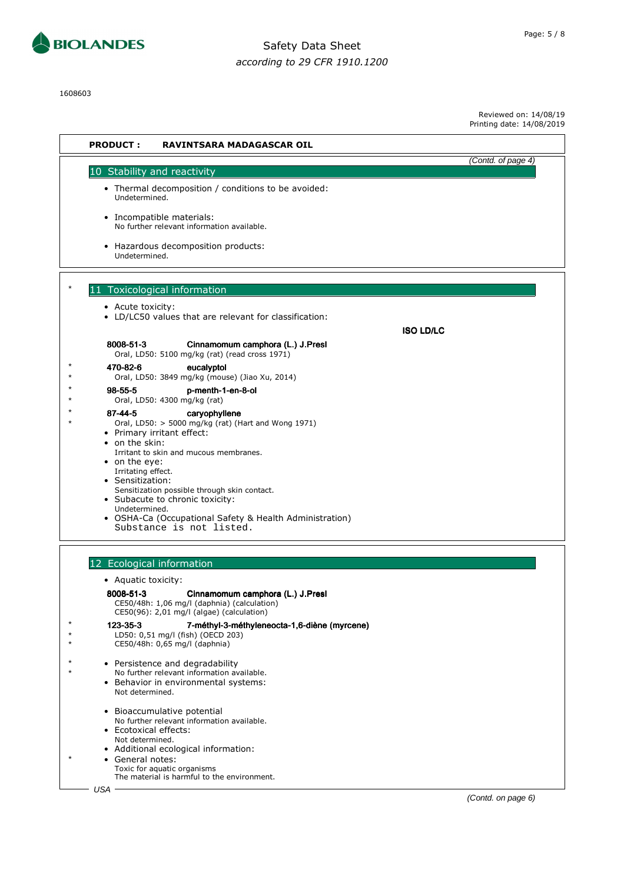

1608603

| Reviewed on: 14/08/19     |
|---------------------------|
| Printing date: 14/08/2019 |

| <b>PRODUCT:</b><br><b>RAVINTSARA MADAGASCAR OIL</b>                                                                                                                                                                                                                                                                                                                                                                                                                                                                                                                                                                                   |                    |
|---------------------------------------------------------------------------------------------------------------------------------------------------------------------------------------------------------------------------------------------------------------------------------------------------------------------------------------------------------------------------------------------------------------------------------------------------------------------------------------------------------------------------------------------------------------------------------------------------------------------------------------|--------------------|
|                                                                                                                                                                                                                                                                                                                                                                                                                                                                                                                                                                                                                                       | (Contd. of page 4) |
| 10 Stability and reactivity<br>• Thermal decomposition / conditions to be avoided:<br>Undetermined.<br>· Incompatible materials:<br>No further relevant information available.<br>• Hazardous decomposition products:                                                                                                                                                                                                                                                                                                                                                                                                                 |                    |
| Undetermined.                                                                                                                                                                                                                                                                                                                                                                                                                                                                                                                                                                                                                         |                    |
| 11 Toxicological information<br>• Acute toxicity:<br>• LD/LC50 values that are relevant for classification:<br><b>ISO LD/LC</b>                                                                                                                                                                                                                                                                                                                                                                                                                                                                                                       |                    |
| 8008-51-3<br>Cinnamomum camphora (L.) J.Presl                                                                                                                                                                                                                                                                                                                                                                                                                                                                                                                                                                                         |                    |
| Oral, LD50: 5100 mg/kg (rat) (read cross 1971)<br>470-82-6<br>eucalyptol<br>Oral, LD50: 3849 mg/kg (mouse) (Jiao Xu, 2014)<br>98-55-5<br>p-menth-1-en-8-ol<br>Oral, LD50: 4300 mg/kg (rat)<br>87-44-5<br>caryophyllene<br>Oral, LD50: > 5000 mg/kg (rat) (Hart and Wong 1971)<br>• Primary irritant effect:<br>$\bullet$ on the skin:<br>Irritant to skin and mucous membranes.<br>• on the eye:<br>Irritating effect.<br>• Sensitization:<br>Sensitization possible through skin contact.<br>• Subacute to chronic toxicity:<br>Undetermined.<br>• OSHA-Ca (Occupational Safety & Health Administration)<br>Substance is not listed. |                    |
| 12 Ecological information                                                                                                                                                                                                                                                                                                                                                                                                                                                                                                                                                                                                             |                    |
| • Aquatic toxicity:                                                                                                                                                                                                                                                                                                                                                                                                                                                                                                                                                                                                                   |                    |
| 8008-51-3<br>Cinnamomum camphora (L.) J.Presl<br>CE50/48h: 1,06 mg/l (daphnia) (calculation)<br>CE50(96): 2,01 mg/l (algae) (calculation)                                                                                                                                                                                                                                                                                                                                                                                                                                                                                             |                    |
| 123-35-3<br>7-méthyl-3-méthyleneocta-1,6-diène (myrcene)<br>LD50: 0,51 mg/l (fish) (OECD 203)<br>CE50/48h: 0,65 mg/l (daphnia)                                                                                                                                                                                                                                                                                                                                                                                                                                                                                                        |                    |
| • Persistence and degradability<br>No further relevant information available.<br>• Behavior in environmental systems:<br>Not determined.                                                                                                                                                                                                                                                                                                                                                                                                                                                                                              |                    |
| Bioaccumulative potential<br>$\bullet$<br>No further relevant information available.<br>• Ecotoxical effects:<br>Not determined.                                                                                                                                                                                                                                                                                                                                                                                                                                                                                                      |                    |
| • Additional ecological information:<br>General notes:<br>$\bullet$<br>Toxic for aquatic organisms<br>The material is harmful to the environment.<br>USA                                                                                                                                                                                                                                                                                                                                                                                                                                                                              |                    |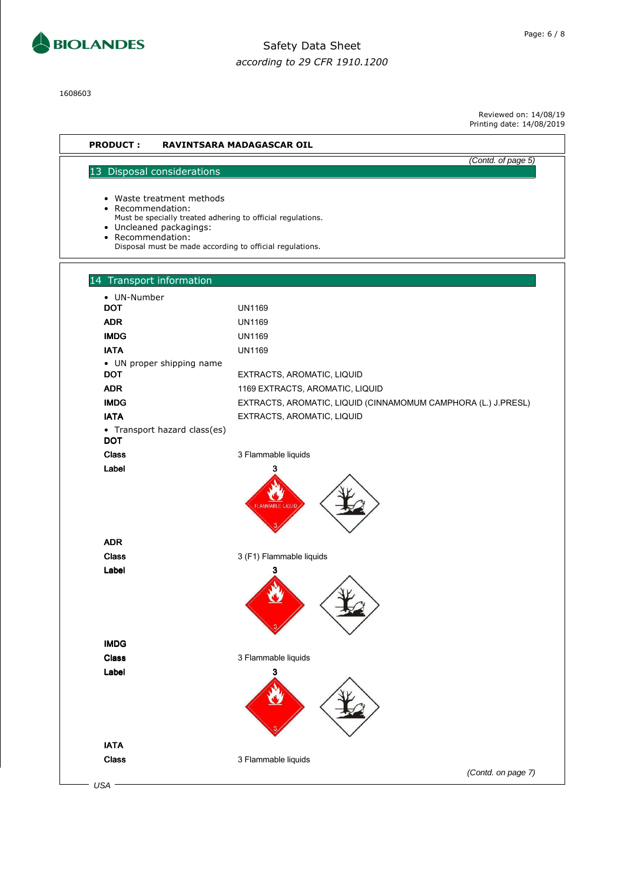

1608603

Reviewed on: 14/08/19 Printing date: 14/08/2019

(Contd. of page 5)

#### **PRODUCT : RAVINTSARA MADAGASCAR OIL**

#### 13 Disposal considerations

• Waste treatment methods

- Recommendation:
- Must be specially treated adhering to official regulations.
- Uncleaned packagings: • Recommendation:
	- Disposal must be made according to official regulations.

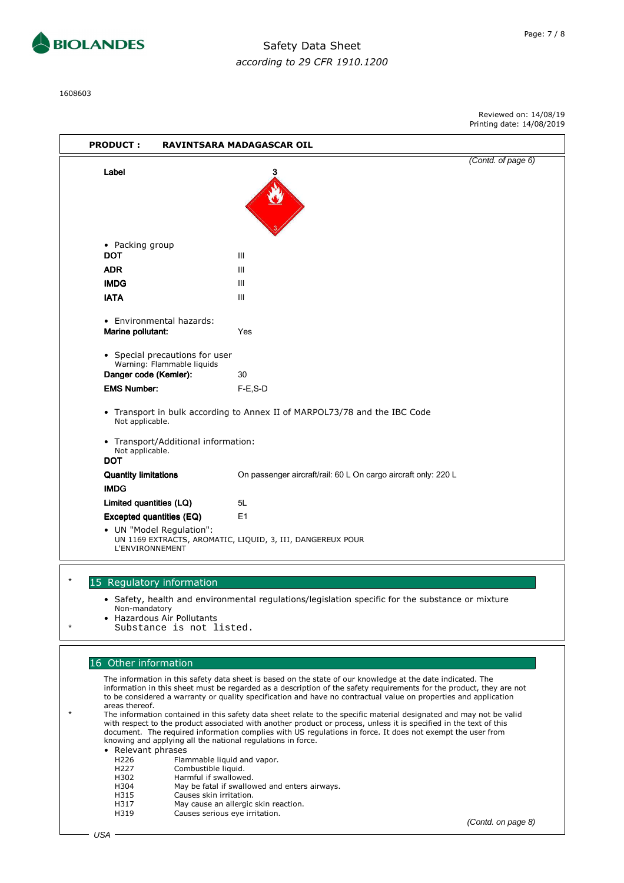

1608603

|                                                                                                                      |                                                                                                                                          |                                                                                                                                                                                                                                                                                                                                                                                                                                                                                                                                                                                                                                                                                                                                                                                                                                                                            | Printing date: 14/08/2019 |
|----------------------------------------------------------------------------------------------------------------------|------------------------------------------------------------------------------------------------------------------------------------------|----------------------------------------------------------------------------------------------------------------------------------------------------------------------------------------------------------------------------------------------------------------------------------------------------------------------------------------------------------------------------------------------------------------------------------------------------------------------------------------------------------------------------------------------------------------------------------------------------------------------------------------------------------------------------------------------------------------------------------------------------------------------------------------------------------------------------------------------------------------------------|---------------------------|
| <b>PRODUCT:</b>                                                                                                      |                                                                                                                                          | RAVINTSARA MADAGASCAR OIL                                                                                                                                                                                                                                                                                                                                                                                                                                                                                                                                                                                                                                                                                                                                                                                                                                                  |                           |
| Label                                                                                                                |                                                                                                                                          |                                                                                                                                                                                                                                                                                                                                                                                                                                                                                                                                                                                                                                                                                                                                                                                                                                                                            | (Contd. of page 6)        |
|                                                                                                                      |                                                                                                                                          |                                                                                                                                                                                                                                                                                                                                                                                                                                                                                                                                                                                                                                                                                                                                                                                                                                                                            |                           |
| • Packing group<br><b>DOT</b>                                                                                        |                                                                                                                                          | Ш                                                                                                                                                                                                                                                                                                                                                                                                                                                                                                                                                                                                                                                                                                                                                                                                                                                                          |                           |
| <b>ADR</b>                                                                                                           |                                                                                                                                          | Ш                                                                                                                                                                                                                                                                                                                                                                                                                                                                                                                                                                                                                                                                                                                                                                                                                                                                          |                           |
| <b>IMDG</b>                                                                                                          |                                                                                                                                          | Ш                                                                                                                                                                                                                                                                                                                                                                                                                                                                                                                                                                                                                                                                                                                                                                                                                                                                          |                           |
| <b>IATA</b>                                                                                                          |                                                                                                                                          | Ш                                                                                                                                                                                                                                                                                                                                                                                                                                                                                                                                                                                                                                                                                                                                                                                                                                                                          |                           |
| • Environmental hazards:<br>Marine pollutant:                                                                        |                                                                                                                                          | Yes                                                                                                                                                                                                                                                                                                                                                                                                                                                                                                                                                                                                                                                                                                                                                                                                                                                                        |                           |
| Danger code (Kemler):                                                                                                | • Special precautions for user<br>Warning: Flammable liquids                                                                             | 30                                                                                                                                                                                                                                                                                                                                                                                                                                                                                                                                                                                                                                                                                                                                                                                                                                                                         |                           |
| <b>EMS Number:</b>                                                                                                   |                                                                                                                                          | F-E.S-D                                                                                                                                                                                                                                                                                                                                                                                                                                                                                                                                                                                                                                                                                                                                                                                                                                                                    |                           |
| Not applicable.                                                                                                      |                                                                                                                                          | • Transport in bulk according to Annex II of MARPOL73/78 and the IBC Code                                                                                                                                                                                                                                                                                                                                                                                                                                                                                                                                                                                                                                                                                                                                                                                                  |                           |
| Not applicable.<br><b>DOT</b>                                                                                        | • Transport/Additional information:                                                                                                      |                                                                                                                                                                                                                                                                                                                                                                                                                                                                                                                                                                                                                                                                                                                                                                                                                                                                            |                           |
| <b>Quantity limitations</b><br><b>IMDG</b>                                                                           |                                                                                                                                          | On passenger aircraft/rail: 60 L On cargo aircraft only: 220 L                                                                                                                                                                                                                                                                                                                                                                                                                                                                                                                                                                                                                                                                                                                                                                                                             |                           |
| Limited quantities (LQ)                                                                                              |                                                                                                                                          | 5L                                                                                                                                                                                                                                                                                                                                                                                                                                                                                                                                                                                                                                                                                                                                                                                                                                                                         |                           |
| <b>Excepted quantities (EQ)</b>                                                                                      |                                                                                                                                          | E1                                                                                                                                                                                                                                                                                                                                                                                                                                                                                                                                                                                                                                                                                                                                                                                                                                                                         |                           |
| • UN "Model Regulation":<br><b>L'ENVIRONNEMENT</b>                                                                   |                                                                                                                                          | UN 1169 EXTRACTS, AROMATIC, LIQUID, 3, III, DANGEREUX POUR                                                                                                                                                                                                                                                                                                                                                                                                                                                                                                                                                                                                                                                                                                                                                                                                                 |                           |
| 15 Regulatory information                                                                                            |                                                                                                                                          |                                                                                                                                                                                                                                                                                                                                                                                                                                                                                                                                                                                                                                                                                                                                                                                                                                                                            |                           |
| Non-mandatory<br><b>Hazardous Air Pollutants</b>                                                                     | Substance is not listed.                                                                                                                 | • Safety, health and environmental regulations/legislation specific for the substance or mixture                                                                                                                                                                                                                                                                                                                                                                                                                                                                                                                                                                                                                                                                                                                                                                           |                           |
|                                                                                                                      |                                                                                                                                          |                                                                                                                                                                                                                                                                                                                                                                                                                                                                                                                                                                                                                                                                                                                                                                                                                                                                            |                           |
| 16 Other information<br>areas thereof.<br>• Relevant phrases<br>H226<br>H227<br>H302<br>H304<br>H315<br>H317<br>H319 | Flammable liquid and vapor.<br>Combustible liquid.<br>Harmful if swallowed.<br>Causes skin irritation.<br>Causes serious eye irritation. | The information in this safety data sheet is based on the state of our knowledge at the date indicated. The<br>information in this sheet must be regarded as a description of the safety requirements for the product, they are not<br>to be considered a warranty or quality specification and have no contractual value on properties and application<br>The information contained in this safety data sheet relate to the specific material designated and may not be valid<br>with respect to the product associated with another product or process, unless it is specified in the text of this<br>document. The required information complies with US regulations in force. It does not exempt the user from<br>knowing and applying all the national regulations in force.<br>May be fatal if swallowed and enters airways.<br>May cause an allergic skin reaction. |                           |
|                                                                                                                      |                                                                                                                                          |                                                                                                                                                                                                                                                                                                                                                                                                                                                                                                                                                                                                                                                                                                                                                                                                                                                                            | (Contd. on page 8)        |

 $\overline{\phantom{a}}$ 

Reviewed on: 14/08/19